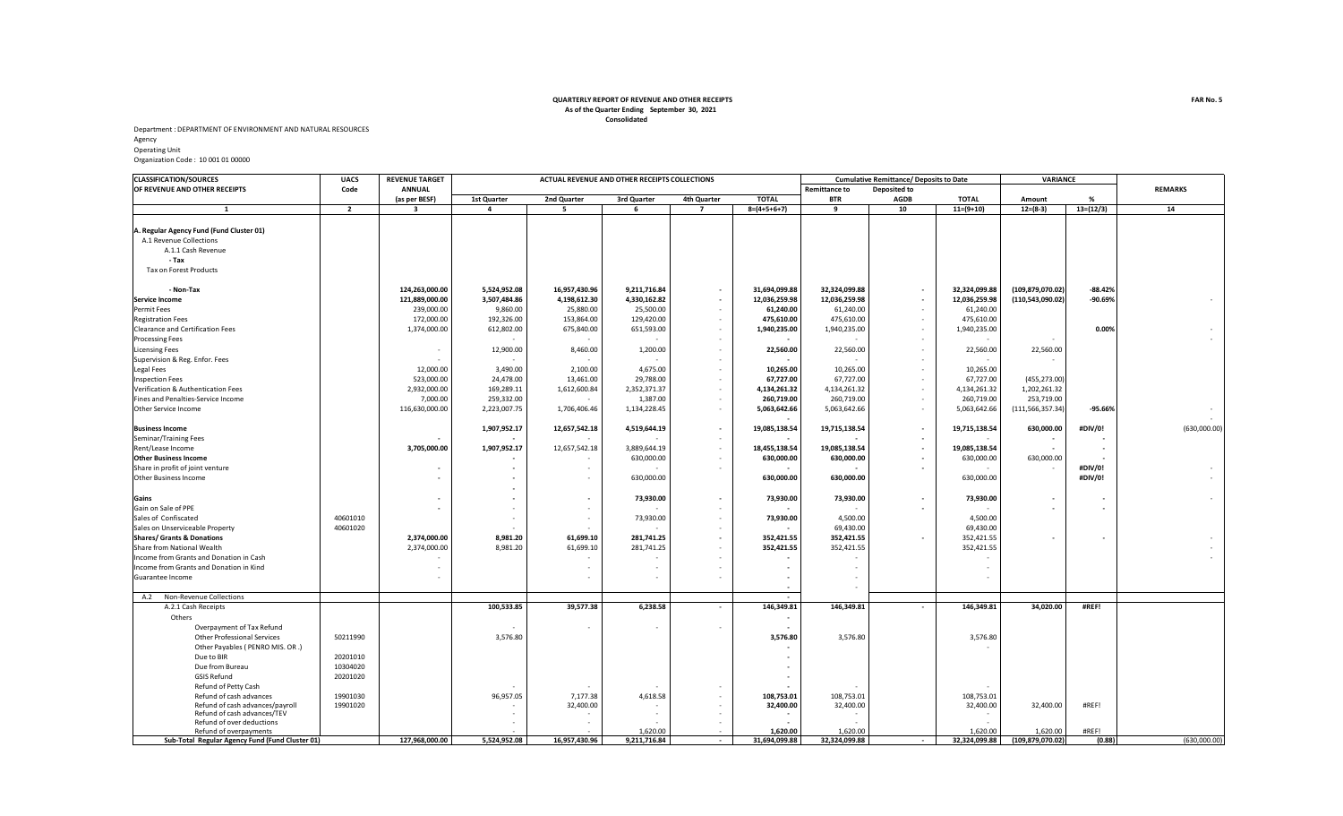## **Consolidated QUARTERLY REPORT OF REVENUE AND OTHER RECEIPTS As of the Quarter Ending September 30, 2021**

Department : DEPARTMENT OF ENVIRONMENT AND NATURAL RESOURCES Agency Operating Unit

Organization Code : 10 001 01 00000

| <b>CLASSIFICATION/SOURCES</b>                   | <b>UACS</b>    | <b>REVENUE TARGET</b>   |                         |               | ACTUAL REVENUE AND OTHER RECEIPTS COLLECTIONS |                          |                          |                      | <b>Cumulative Remittance/ Deposits to Date</b> |               |                    | <b>VARIANCE</b> |                          |
|-------------------------------------------------|----------------|-------------------------|-------------------------|---------------|-----------------------------------------------|--------------------------|--------------------------|----------------------|------------------------------------------------|---------------|--------------------|-----------------|--------------------------|
| OF REVENUE AND OTHER RECEIPTS                   | Code           | <b>ANNUAL</b>           |                         |               |                                               |                          |                          | <b>Remittance to</b> | Deposited to                                   |               |                    |                 | <b>REMARKS</b>           |
|                                                 |                | (as per BESF)           | 1st Quarter             | 2nd Quarter   | 3rd Quarter                                   | 4th Quarter              | <b>TOTAL</b>             | <b>BTR</b>           | AGDB                                           | <b>TOTAL</b>  | Amount             | %               |                          |
| $\mathbf{1}$                                    | $\overline{2}$ | $\overline{\mathbf{3}}$ | $\overline{\mathbf{4}}$ | 5             | 6                                             | $\overline{7}$           | $8=(4+5+6+7)$            | 9                    | 10                                             | $11=(9+10)$   | $12=(8-3)$         | $13=(12/3)$     | 14                       |
|                                                 |                |                         |                         |               |                                               |                          |                          |                      |                                                |               |                    |                 |                          |
| 4. Regular Agency Fund (Fund Cluster 01)        |                |                         |                         |               |                                               |                          |                          |                      |                                                |               |                    |                 |                          |
| A.1 Revenue Collections                         |                |                         |                         |               |                                               |                          |                          |                      |                                                |               |                    |                 |                          |
| A.1.1 Cash Revenue                              |                |                         |                         |               |                                               |                          |                          |                      |                                                |               |                    |                 |                          |
| - Tax                                           |                |                         |                         |               |                                               |                          |                          |                      |                                                |               |                    |                 |                          |
| Tax on Forest Products                          |                |                         |                         |               |                                               |                          |                          |                      |                                                |               |                    |                 |                          |
| - Non-Tax                                       |                | 124,263,000.00          | 5,524,952.08            | 16,957,430.96 | 9,211,716.84                                  | $\sim$                   | 31,694,099.88            | 32,324,099.88        |                                                | 32,324,099.88 | (109,879,070.02)   | $-88.42%$       |                          |
| <b>Service Income</b>                           |                | 121,889,000.00          | 3,507,484.86            | 4,198,612.30  | 4,330,162.82                                  | $\sim$                   | 12,036,259.98            | 12,036,259.98        |                                                | 12,036,259.98 | (110, 543, 090.02) | $-90.69%$       |                          |
| Permit Fees                                     |                | 239,000.00              | 9,860.00                | 25,880.00     | 25,500.00                                     | $\sim$                   | 61,240.00                | 61,240.00            | $\sim$                                         | 61,240.00     |                    |                 |                          |
|                                                 |                | 172,000.00              | 192,326.00              | 153,864.00    | 129,420.00                                    | $\sim$                   | 475,610.00               | 475,610.00           | $\sim$                                         |               |                    |                 |                          |
| <b>Registration Fees</b>                        |                |                         |                         |               |                                               |                          |                          |                      |                                                | 475,610.00    |                    |                 |                          |
| <b>Clearance and Certification Fees</b>         |                | 1,374,000.00            | 612,802.00              | 675,840.00    | 651,593.00                                    | $\sim$                   | 1,940,235.00             | 1,940,235.00         | $\sim$                                         | 1,940,235.00  |                    | 0.00%           |                          |
| <b>Processing Fees</b>                          |                |                         |                         |               |                                               | $\sim$                   |                          |                      | $\sim$                                         |               |                    |                 |                          |
| <b>Licensing Fees</b>                           |                |                         | 12,900.00               | 8,460.00      | 1,200.00                                      | $\sim$                   | 22,560.00                | 22,560.00            | $\sim$                                         | 22,560.00     | 22,560.00          |                 |                          |
| Supervision & Reg. Enfor. Fees                  |                |                         |                         |               |                                               | $\sim$                   |                          |                      | $\sim$                                         |               | $\sim$             |                 |                          |
| Legal Fees                                      |                | 12,000.00               | 3,490.00                | 2,100.00      | 4,675.00                                      | $\sim$                   | 10,265.00                | 10,265.00            | $\sim$                                         | 10,265.00     |                    |                 |                          |
| nspection Fees                                  |                | 523,000.00              | 24,478.00               | 13,461.00     | 29,788.00                                     | $\sim$                   | 67,727.00                | 67,727.00            | $\sim$                                         | 67,727.00     | (455,273.00)       |                 |                          |
| Verification & Authentication Fees              |                | 2,932,000.00            | 169,289.11              | 1,612,600.84  | 2,352,371.37                                  | $\overline{\phantom{a}}$ | 4,134,261.32             | 4,134,261.32         | $\sim$                                         | 4,134,261.32  | 1,202,261.32       |                 |                          |
| Fines and Penalties-Service Income              |                | 7,000.00                | 259,332.00              |               | 1,387.00                                      | $\sim$                   | 260,719.00               | 260,719.00           | $\sim$                                         | 260,719.00    | 253,719.00         |                 |                          |
| Other Service Income                            |                | 116,630,000.00          | 2,223,007.75            | 1,706,406.46  | 1,134,228.45                                  | $\sim$                   | 5,063,642.66             | 5,063,642.66         | $\sim$                                         | 5,063,642.66  | (111,566,357.34)   | $-95.66%$       | $\sim$                   |
| <b>Business Income</b>                          |                |                         | 1,907,952.17            | 12,657,542.18 | 4,519,644.19                                  | $\blacksquare$           | 19,085,138.54            | 19,715,138.54        | $\sim$                                         | 19,715,138.54 | 630,000.00         | #DIV/0!         | (630,000.00)             |
| Seminar/Training Fees                           |                |                         |                         |               |                                               | $\sim$                   |                          |                      |                                                |               |                    |                 |                          |
| Rent/Lease Income                               |                | 3,705,000.00            | 1,907,952.17            | 12,657,542.18 | 3,889,644.19                                  | $\sim$                   | 18,455,138.54            | 19,085,138.54        |                                                | 19,085,138.54 |                    |                 |                          |
| <b>Other Business Income</b>                    |                |                         |                         |               | 630,000.00                                    | $\sim$                   | 630,000.00               | 630,000.00           |                                                | 630,000.00    | 630,000.00         |                 |                          |
| Share in profit of joint venture                |                |                         |                         |               |                                               | $\sim$                   |                          |                      | $\overline{\phantom{a}}$                       |               |                    | #DIV/0!         |                          |
| Other Business Income                           |                |                         |                         |               | 630,000.00                                    |                          | 630,000.00               | 630,000.00           |                                                | 630,000.00    |                    | #DIV/0!         |                          |
|                                                 |                |                         |                         |               |                                               |                          |                          |                      |                                                |               |                    |                 |                          |
| Gains                                           |                |                         |                         |               | 73,930.00                                     | $\blacksquare$           | 73,930.00                | 73,930.00            | $\overline{\phantom{a}}$                       | 73,930.00     |                    |                 | $\sim$                   |
| Gain on Sale of PPE                             |                |                         |                         |               |                                               | $\overline{\phantom{a}}$ |                          |                      | $\overline{\phantom{a}}$                       |               |                    |                 |                          |
| Sales of Confiscated                            | 40601010       |                         |                         | $\sim$        | 73,930.00                                     | $\sim$                   | 73,930.00                | 4,500.00             |                                                | 4,500.00      |                    |                 |                          |
| Sales on Unserviceable Property                 | 40601020       |                         |                         |               |                                               | $\sim$                   |                          | 69,430.00            |                                                | 69,430.00     |                    |                 |                          |
| <b>Shares/ Grants &amp; Donations</b>           |                | 2,374,000.00            | 8,981.20                | 61,699.10     | 281,741.25                                    | $\overline{\phantom{a}}$ | 352,421.55               | 352,421.55           |                                                | 352,421.55    |                    |                 |                          |
| Share from National Wealth                      |                | 2,374,000.00            | 8,981.20                | 61,699.10     | 281,741.25                                    | $\sim$                   | 352,421.55               | 352,421.55           |                                                | 352,421.55    |                    |                 | $\overline{\phantom{a}}$ |
| Income from Grants and Donation in Cash         |                |                         |                         |               |                                               | $\overline{\phantom{a}}$ |                          |                      |                                                |               |                    |                 |                          |
| Income from Grants and Donation in Kind         |                |                         |                         |               |                                               | ÷.                       |                          |                      |                                                |               |                    |                 |                          |
|                                                 |                |                         |                         |               |                                               |                          |                          |                      |                                                |               |                    |                 |                          |
| Guarantee Income                                |                |                         |                         |               |                                               | ÷.                       |                          |                      |                                                |               |                    |                 |                          |
| A.2<br>Non-Revenue Collections                  |                |                         |                         |               |                                               |                          | $\overline{\phantom{a}}$ |                      |                                                |               |                    |                 |                          |
| A.2.1 Cash Receipts                             |                |                         | 100,533.85              | 39,577.38     | 6,238.58                                      | $\sim$                   | 146,349.81               | 146,349.81           | $\sim$                                         | 146,349.81    | 34,020.00          | #REF!           |                          |
| Others                                          |                |                         |                         |               |                                               |                          |                          |                      |                                                |               |                    |                 |                          |
| Overpayment of Tax Refund                       |                |                         |                         |               |                                               | $\sim$                   |                          |                      |                                                |               |                    |                 |                          |
| <b>Other Professional Services</b>              | 50211990       |                         | 3,576.80                |               |                                               |                          | 3,576.80                 | 3,576.80             |                                                | 3,576.80      |                    |                 |                          |
| Other Payables ( PENRO MIS. OR .)               |                |                         |                         |               |                                               |                          |                          |                      |                                                |               |                    |                 |                          |
| Due to BIR                                      | 20201010       |                         |                         |               |                                               |                          |                          |                      |                                                |               |                    |                 |                          |
| Due from Bureau                                 | 10304020       |                         |                         |               |                                               |                          |                          |                      |                                                |               |                    |                 |                          |
| <b>GSIS Refund</b>                              | 20201020       |                         |                         |               |                                               |                          |                          |                      |                                                |               |                    |                 |                          |
| Refund of Petty Cash                            |                |                         |                         |               |                                               |                          |                          |                      |                                                |               |                    |                 |                          |
| Refund of cash advances                         | 19901030       |                         | 96,957.05               | 7,177.38      | 4,618.58                                      | $\sim$                   | 108,753.01               | 108,753.01           |                                                | 108,753.01    |                    |                 |                          |
| Refund of cash advances/payroll                 | 19901020       |                         |                         | 32,400.00     |                                               | $\sim$                   | 32,400.00                | 32,400.00            |                                                | 32,400.00     | 32,400.00          | #REF!           |                          |
| Refund of cash advances/TEV                     |                |                         |                         |               |                                               | $\sim$                   |                          |                      |                                                |               |                    |                 |                          |
| Refund of over deductions                       |                |                         |                         |               |                                               | $\sim$                   |                          |                      |                                                |               |                    |                 |                          |
| Refund of overpayments                          |                |                         |                         |               | 1.620.00                                      | $\sim$                   | 1.620.00                 | 1.620.00             |                                                | 1.620.00      | 1.620.00           | #REF!           |                          |
| Sub-Total Regular Agency Fund (Fund Cluster 01) |                | 127,968,000.00          | 5,524,952.08            | 16,957,430.96 | 9,211,716.84                                  | $\sim$                   | 31,694,099.88            | 32,324,099.88        |                                                | 32,324,099.88 | (109, 879, 070.02) | (0.88)          | (630,000.00)             |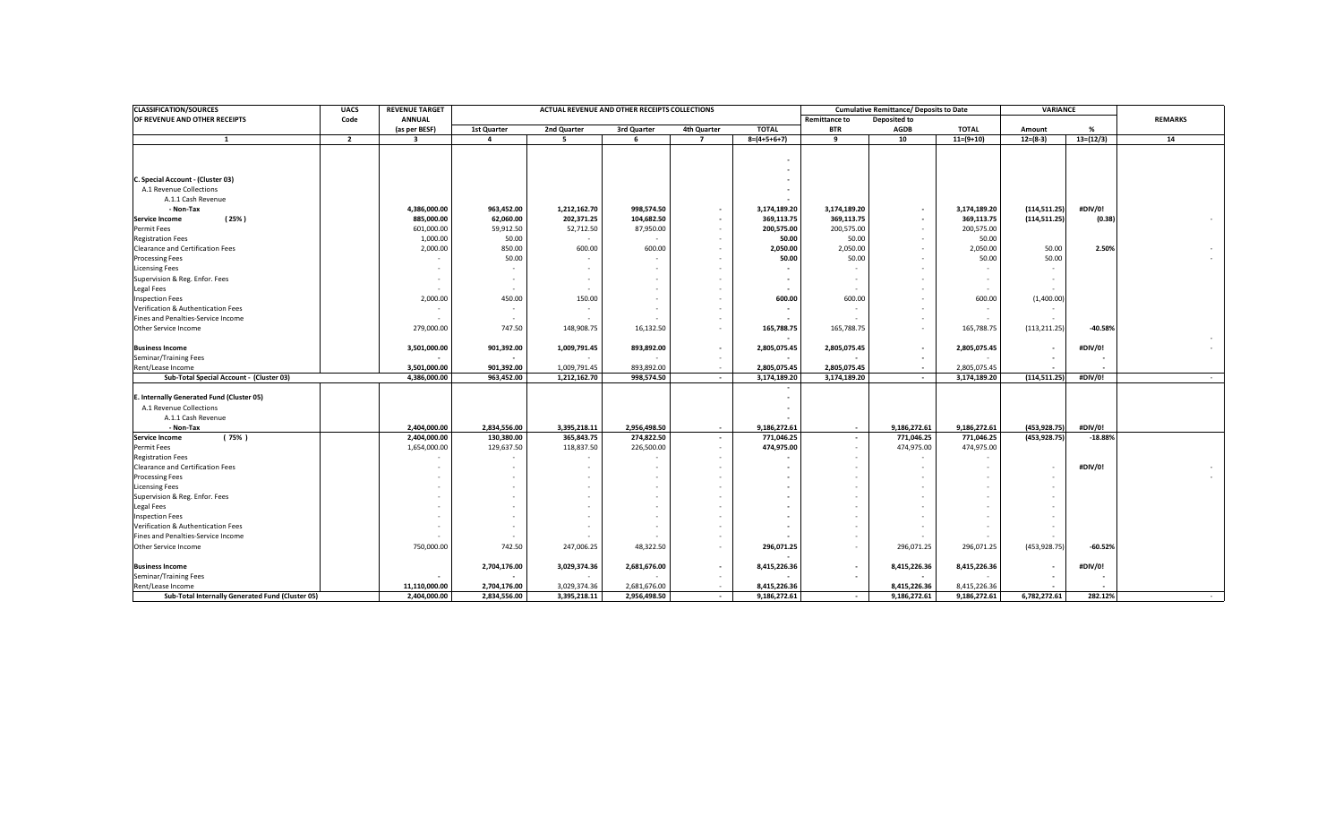| <b>CLASSIFICATION/SOURCES</b>                    | <b>UACS</b>    | <b>REVENUE TARGET</b> | ACTUAL REVENUE AND OTHER RECEIPTS COLLECTIONS |              |              |                |               |                                      | <b>Cumulative Remittance/ Deposits to Date</b> |                          | <b>VARIANCE</b> |               |                |
|--------------------------------------------------|----------------|-----------------------|-----------------------------------------------|--------------|--------------|----------------|---------------|--------------------------------------|------------------------------------------------|--------------------------|-----------------|---------------|----------------|
| OF REVENUE AND OTHER RECEIPTS                    | Code           | <b>ANNUAL</b>         |                                               |              |              |                |               | <b>Remittance to</b><br>Deposited to |                                                |                          |                 |               | <b>REMARKS</b> |
|                                                  |                | (as per BESF)         | 1st Quarter                                   | 2nd Quarter  | 3rd Quarter  | 4th Quarter    | <b>TOTAL</b>  | <b>BTR</b>                           | <b>AGDB</b>                                    | <b>TOTAL</b>             | Amount          | $\frac{9}{6}$ |                |
| $\mathbf{1}$                                     | $\overline{2}$ | $\mathbf{3}$          | $\overline{a}$                                | -5           | 6            | $\overline{7}$ | $8=(4+5+6+7)$ | 9                                    | 10                                             | $11=(9+10)$              | $12= (8-3)$     | $13=(12/3)$   | 14             |
|                                                  |                |                       |                                               |              |              |                |               |                                      |                                                |                          |                 |               |                |
|                                                  |                |                       |                                               |              |              |                |               |                                      |                                                |                          |                 |               |                |
|                                                  |                |                       |                                               |              |              |                |               |                                      |                                                |                          |                 |               |                |
| C. Special Account - (Cluster 03)                |                |                       |                                               |              |              |                |               |                                      |                                                |                          |                 |               |                |
| A.1 Revenue Collections                          |                |                       |                                               |              |              |                |               |                                      |                                                |                          |                 |               |                |
| A.1.1 Cash Revenue                               |                |                       |                                               |              |              |                |               |                                      |                                                |                          |                 |               |                |
| - Non-Tax                                        |                | 4,386,000.00          | 963,452.00                                    | 1,212,162.70 | 998,574.50   | $\sim$         | 3,174,189.20  | 3,174,189.20                         |                                                | 3,174,189.20             | (114, 511.25)   | #DIV/0!       |                |
| (25%)<br><b>Service Income</b>                   |                | 885,000.00            | 62,060.00                                     | 202,371.25   | 104,682.50   | $\sim$         | 369,113.75    | 369,113.75                           |                                                | 369,113.75               | (114, 511.25)   | (0.38)        |                |
| Permit Fees                                      |                | 601,000.00            | 59,912.50                                     | 52,712.50    | 87,950.00    | $\sim$         | 200,575.00    | 200,575.00                           |                                                | 200,575.00               |                 |               |                |
| <b>Registration Fees</b>                         |                | 1,000.00              | 50.00                                         |              |              | $\sim$         | 50.00         | 50.00                                |                                                | 50.00                    |                 |               |                |
| Clearance and Certification Fees                 |                | 2,000.00              | 850.00                                        | 600.00       | 600.00       | $\sim$         | 2,050.00      | 2,050.00                             |                                                | 2,050.00                 | 50.00           | 2.50%         |                |
| <b>Processing Fees</b>                           |                |                       | 50.00                                         |              |              |                | 50.00         | 50.00                                |                                                | 50.00                    | 50.00           |               |                |
| <b>Licensing Fees</b>                            |                |                       |                                               |              |              |                |               |                                      |                                                |                          |                 |               |                |
| Supervision & Reg. Enfor. Fees                   |                |                       |                                               |              |              |                |               | - -                                  |                                                | $\overline{\phantom{a}}$ |                 |               |                |
| Legal Fees                                       |                |                       |                                               |              |              |                |               |                                      |                                                |                          |                 |               |                |
| <b>Inspection Fees</b>                           |                | 2,000.00              | 450.00                                        | 150.00       |              |                | 600.00        | 600.00                               |                                                | 600.00                   | (1,400.00)      |               |                |
| Verification & Authentication Fees               |                |                       |                                               |              |              |                |               |                                      |                                                |                          |                 |               |                |
| Fines and Penalties-Service Income               |                |                       |                                               |              |              | $\sim$         |               |                                      |                                                |                          |                 |               |                |
| Other Service Income                             |                | 279,000.00            | 747.50                                        | 148,908.75   | 16,132.50    | $\sim$         | 165,788.75    | 165,788.75                           |                                                | 165,788.75               | (113, 211.25)   | $-40.589$     |                |
|                                                  |                |                       |                                               |              |              |                |               |                                      |                                                |                          |                 |               |                |
| <b>Business Income</b>                           |                | 3,501,000.00          | 901,392.00                                    | 1,009,791.45 | 893,892.00   | $\sim$         | 2,805,075.45  | 2,805,075.45                         |                                                | 2,805,075.45             |                 | #DIV/0!       |                |
| Seminar/Training Fees                            |                |                       |                                               |              |              | $\sim$         |               |                                      | $\sim$                                         |                          |                 |               |                |
| Rent/Lease Income                                |                | 3,501,000.00          | 901,392.00                                    | 1,009,791.45 | 893,892.00   | $\sim$         | 2,805,075.45  | 2,805,075.45                         | $\overline{\phantom{a}}$                       | 2,805,075.45             |                 |               |                |
| Sub-Total Special Account - (Cluster 03)         |                | 4,386,000.00          | 963,452.00                                    | 1,212,162.70 | 998,574.50   | $\sim$         | 3,174,189.20  | 3,174,189.20                         | $\sim$                                         | 3,174,189.20             | (114, 511.25)   | #DIV/0!       | $\sim$         |
|                                                  |                |                       |                                               |              |              |                |               |                                      |                                                |                          |                 |               |                |
| E. Internally Generated Fund (Cluster 05)        |                |                       |                                               |              |              |                |               |                                      |                                                |                          |                 |               |                |
| A.1 Revenue Collections                          |                |                       |                                               |              |              |                |               |                                      |                                                |                          |                 |               |                |
| A.1.1 Cash Revenue                               |                |                       |                                               |              |              |                |               |                                      |                                                |                          |                 |               |                |
| - Non-Tax                                        |                | 2,404,000.00          | 2,834,556.00                                  | 3,395,218.11 | 2,956,498.50 | $\sim$         | 9,186,272.61  | $\sim$                               | 9,186,272.61                                   | 9,186,272.61             | (453, 928.75)   | #DIV/0!       |                |
| <b>Service Income</b><br>(75% )                  |                | 2,404,000.00          | 130,380.00                                    | 365,843.75   | 274,822.50   | $\sim$         | 771,046.25    | $\overline{\phantom{a}}$             | 771,046.25                                     | 771,046.25               | (453, 928.75)   | $-18.889$     |                |
| Permit Fees                                      |                | 1,654,000.00          | 129,637.50                                    | 118,837.50   | 226,500.00   | $\sim$         | 474,975.00    | $\sim$                               | 474,975.00                                     | 474,975.00               |                 |               |                |
| <b>Registration Fees</b>                         |                |                       |                                               |              |              | <b>1999</b>    |               |                                      |                                                |                          |                 |               |                |
| <b>Clearance and Certification Fees</b>          |                |                       |                                               |              |              |                |               |                                      |                                                |                          |                 | #DIV/0!       |                |
| <b>Processing Fees</b>                           |                |                       |                                               |              | ٠            |                |               |                                      |                                                |                          |                 |               |                |
| <b>Licensing Fees</b>                            |                |                       |                                               |              | ٠            |                |               |                                      |                                                |                          |                 |               |                |
| Supervision & Reg. Enfor. Fees                   |                |                       |                                               |              |              |                |               |                                      |                                                |                          |                 |               |                |
| Legal Fees                                       |                |                       |                                               |              |              |                |               |                                      |                                                |                          |                 |               |                |
| <b>Inspection Fees</b>                           |                |                       |                                               |              |              |                |               |                                      |                                                |                          |                 |               |                |
| Verification & Authentication Fees               |                |                       |                                               |              |              |                |               |                                      |                                                |                          |                 |               |                |
| Fines and Penalties-Service Income               |                |                       |                                               |              |              |                |               |                                      |                                                |                          |                 |               |                |
| Other Service Income                             |                | 750,000.00            | 742.50                                        | 247,006.25   | 48,322.50    | $\sim$         | 296,071.25    |                                      | 296,071.25                                     | 296,071.25               | (453, 928.75)   | $-60.52%$     |                |
|                                                  |                |                       |                                               |              |              |                |               |                                      |                                                |                          |                 |               |                |
| <b>Business Income</b>                           |                |                       | 2,704,176.00                                  | 3,029,374.36 | 2,681,676.00 | $\sim$         | 8,415,226.36  | $\overline{\phantom{a}}$             | 8,415,226.36                                   | 8,415,226.36             |                 | #DIV/0!       |                |
| Seminar/Training Fees                            |                |                       |                                               |              |              |                |               |                                      |                                                |                          |                 |               |                |
| Rent/Lease Income                                |                | 11,110,000.00         | 2,704,176.00                                  | 3,029,374.36 | 2,681,676.00 | $\sim$         | 8,415,226.36  |                                      | 8,415,226.36                                   | 8,415,226.36             |                 |               |                |
| Sub-Total Internally Generated Fund (Cluster 05) |                | 2,404,000.00          | 2,834,556.00                                  | 3,395,218.11 | 2,956,498.50 | $\sim$         | 9,186,272.61  | $\sim$                               | 9,186,272.61                                   | 9,186,272.61             | 6,782,272.61    | 282.12%       |                |